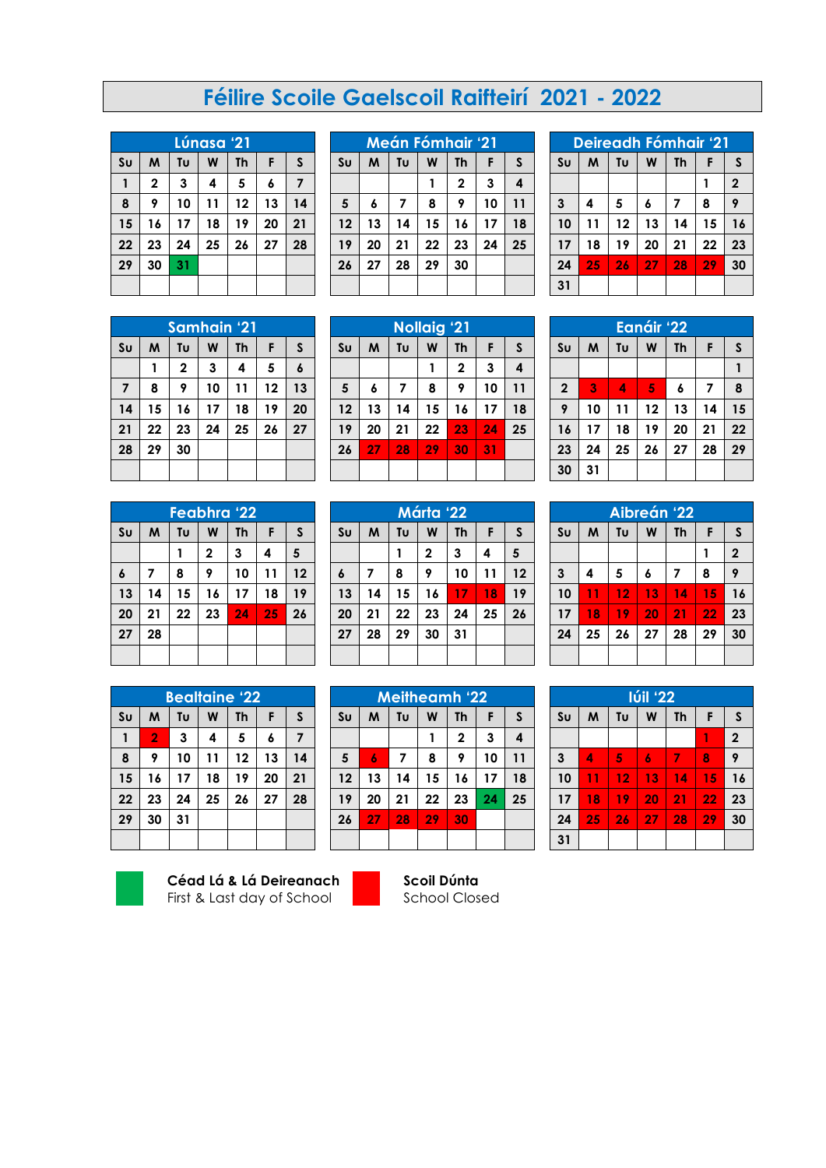## **Féilire Scoile Gaelscoil Raifteirí 2021 - 2022**

| <u> Lúnasa '21</u> |              |    |    |    |    |                |
|--------------------|--------------|----|----|----|----|----------------|
| $s_{U}$            | M            | Tυ | W  | Th | F  | $\mathsf{s}$   |
| 1                  | $\mathbf{2}$ | 3  | 4  | 5  | 6  | $\overline{7}$ |
| 8                  | 9            | 10 | 11 | 12 | 13 | 14             |
| 15                 | 16           | 17 | 18 | 19 | 20 | 21             |
| 22                 | 23           | 24 | 25 | 26 | 27 | 28             |
| 29                 | 30           | 31 |    |    |    |                |
|                    |              |    |    |    |    |                |

|                | Meán Fómhair '21 |    |    |              |    |    |
|----------------|------------------|----|----|--------------|----|----|
| S <sub>U</sub> | M                | Tυ | W  | <b>Th</b>    | F  | S  |
|                |                  |    | 1  | $\mathbf{2}$ | 3  | 4  |
| 5              | 6                | 7  | 8  | 9            | 10 | 11 |
| 12             | 13               | 14 | 15 | 16           | 17 | 18 |
| 19             | 20               | 21 | 22 | 23           | 24 | 25 |
| 26             | 27               | 28 | 29 | 30           |    |    |
|                |                  |    |    |              |    |    |

| Deireadh Fómhair '21 |    |    |    |           |    |                |
|----------------------|----|----|----|-----------|----|----------------|
| S <sub>U</sub>       | M  | Tu | W  | <b>Th</b> | F  | S              |
|                      |    |    |    |           |    | $\overline{2}$ |
| 3                    | 4  | 5  | 6  | 7         | 8  | 9              |
| 10                   | 11 | 12 | 13 | 14        | 15 | 16             |
| 17                   | 18 | 19 | 20 | 21        | 22 | 23             |
| 24                   | 25 | 26 | 27 | 28        | 29 | 30             |
| 31                   |    |    |    |           |    |                |

| Samhain '21    |    |             |    |    |    |    |
|----------------|----|-------------|----|----|----|----|
| $s_{U}$        | M  | Tυ          | W  | Th | F  | S  |
|                | 1  | $\mathbf 2$ | 3  | 4  | 5  | 6  |
| $\overline{7}$ | 8  | 9           | 10 | 11 | 12 | 13 |
| 14             | 15 | 16          | 17 | 18 | 19 | 20 |
| 21             | 22 | 23          | 24 | 25 | 26 | 27 |
| 28             | 29 | 30          |    |    |    |    |
|                |    |             |    |    |    |    |

| Feabhra '22    |    |    |              |           |    |    |
|----------------|----|----|--------------|-----------|----|----|
| S <sub>U</sub> | M  | Tυ | W            | <b>Th</b> | F  | S  |
|                |    |    | $\mathbf{2}$ | 3         | 4  | 5  |
| 6              | 7  | 8  | 9            | 10        | 11 | 12 |
| 13             | 14 | 15 | 16           | 17        | 18 | 19 |
| 20             | 21 | 22 | 23           | 24        | 25 | 26 |
| 27             | 28 |    |              |           |    |    |
|                |    |    |              |           |    |    |

|                | <b>Bealtaine '22</b> |    |    |    |    |    |
|----------------|----------------------|----|----|----|----|----|
| S <sub>U</sub> | M                    | Tυ | W  | Th | F  | S  |
| 1              | $\overline{2}$       | 3  | 4  | 5  | 6  | 7  |
| 8              | 9                    | 10 | 11 | 12 | 13 | 14 |
| 15             | 16                   | 17 | 18 | 19 | 20 | 21 |
| 22             | 23                   | 24 | 25 | 26 | 27 | 28 |
| 29             | 30                   | 31 |    |    |    |    |
|                |                      |    |    |    |    |    |



**Céad Lá & Lá Deireanach** First & Last day of School



| Márta '22        |    |    |    |    |    |    |
|------------------|----|----|----|----|----|----|
| S <sub>U</sub>   | M  | Tυ | W  | Th | F  | S  |
|                  |    |    | 2  | 3  | 4  | 5  |
| $\boldsymbol{6}$ | 7  | 8  | 9  | 10 | 11 | 12 |
| 13               | 14 | 15 | 16 | 17 | 18 | 19 |
| 20               | 21 | 22 | 23 | 24 | 25 | 26 |
| 27               | 28 | 29 | 30 | 31 |    |    |
|                  |    |    |    |    |    |    |

|                | <b>Meitheamh '22</b> |    |    |              |    |    |
|----------------|----------------------|----|----|--------------|----|----|
| S <sub>U</sub> | M                    | Tυ | W  | Th           | F  | S  |
|                |                      |    | 1  | $\mathbf{2}$ | 3  | 4  |
| 5              | 6                    | 7  | 8  | 9            | 10 | 11 |
| 12             | 13                   | 14 | 15 | 16           | 17 | 18 |
| 19             | 20                   | 21 | 22 | 23           | 24 | 25 |
| 26             | 27                   | 28 | 29 | 30           |    |    |
|                |                      |    |    |              |    |    |

**Scoil Dúnta** School Closed

|                         |    |    | Eanáir '22 |           |    |    |
|-------------------------|----|----|------------|-----------|----|----|
| S <sub>U</sub>          | M  | Tυ | W          | <b>Th</b> | F  | S  |
|                         |    |    |            |           |    | 1  |
| $\overline{\mathbf{2}}$ | 3  | 4  | 5          | 6         | 7  | 8  |
| 9                       | 10 | 11 | 12         | 13        | 14 | 15 |
| 16                      | 17 | 18 | 19         | 20        | 21 | 22 |
| 23                      | 24 | 25 | 26         | 27        | 28 | 29 |
| 30                      | 31 |    |            |           |    |    |

| Aibreán '22    |    |    |    |           |    |                |
|----------------|----|----|----|-----------|----|----------------|
| S <sub>U</sub> | M  | Tυ | W  | <b>Th</b> | F  | S              |
|                |    |    |    |           |    | $\overline{2}$ |
| $\mathbf{3}$   | 4  | 5  | 6  | 7         | 8  | 9              |
| 10             | 11 | 12 | 13 | 14        | 15 | 16             |
| 17             | 18 | 19 | 20 | 21        | 22 | 23             |
| 24             | 25 | 26 | 27 | 28        | 29 | 30             |
|                |    |    |    |           |    |                |

| <b>Iúil '22</b> |    |    |    |           |    |                |
|-----------------|----|----|----|-----------|----|----------------|
| S <sub>U</sub>  | M  | Tυ | W  | <b>Th</b> | F  | S              |
|                 |    |    |    |           | 1  | $\overline{2}$ |
| 3               | 4  | 5  | 6  | 7         | 8  | 9              |
| 10              | 11 | 12 | 13 | 14        | 15 | 16             |
| 17              | 18 | 19 | 20 | 21        | 22 | 23             |
| 24              | 25 | 26 | 27 | 28        | 29 | 30             |
| 31              |    |    |    |           |    |                |